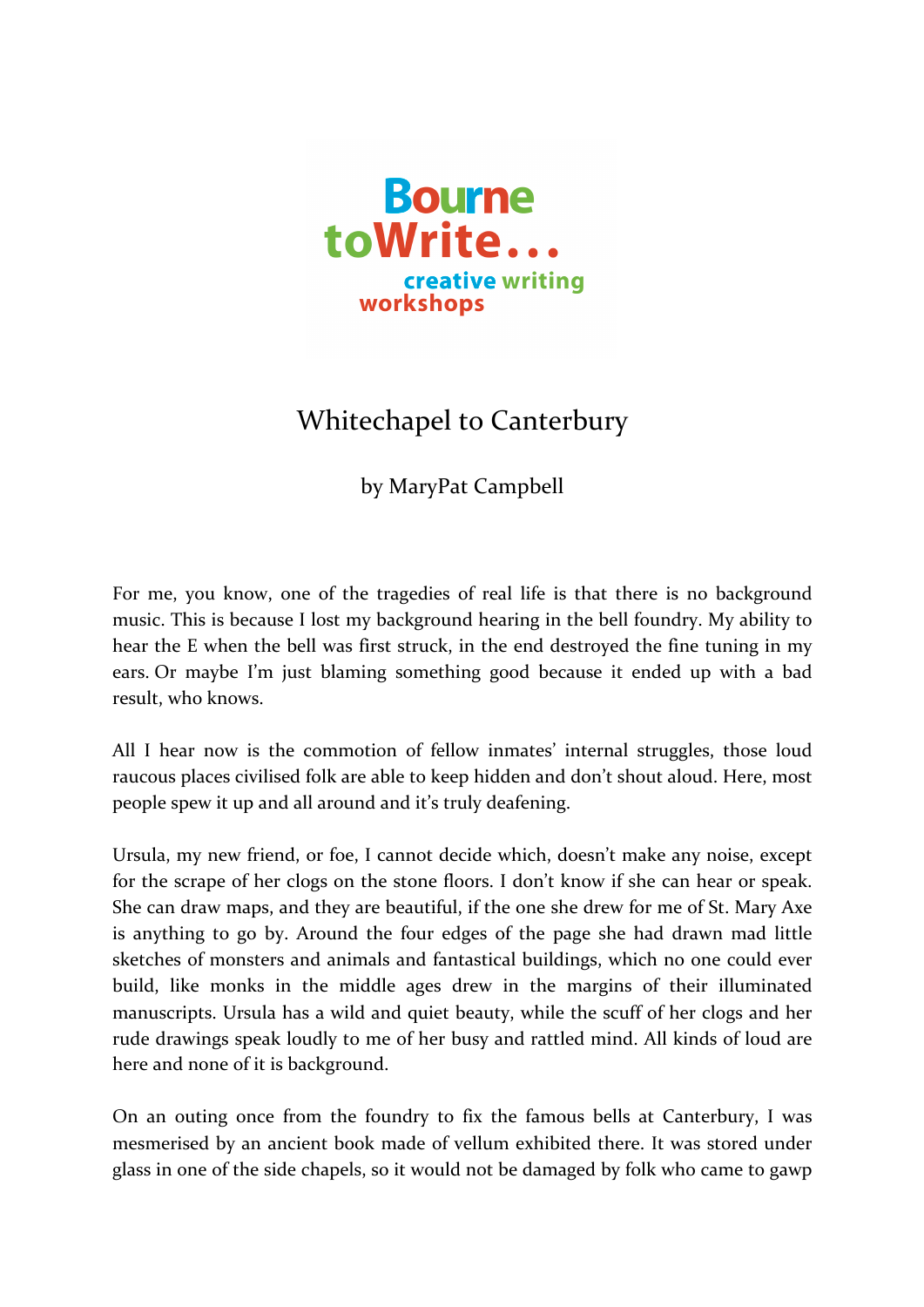

## Whitechapel to Canterbury

by MaryPat Campbell

For me, you know, one of the tragedies of real life is that there is no background music. This is because I lost my background hearing in the bell foundry. My ability to hear the E when the bell was first struck, in the end destroyed the fine tuning in my ears. Or maybe I'm just blaming something good because it ended up with a bad result, who knows.

All I hear now is the commotion of fellow inmates' internal struggles, those loud raucous places civilised folk are able to keep hidden and don't shout aloud. Here, most people spew it up and all around and it's truly deafening.

Ursula, my new friend, or foe, I cannot decide which, doesn't make any noise, except for the scrape of her clogs on the stone floors. I don't know if she can hear or speak. She can draw maps, and they are beautiful, if the one she drew for me of St. Mary Axe is anything to go by. Around the four edges of the page she had drawn mad little sketches of monsters and animals and fantastical buildings, which no one could ever build, like monks in the middle ages drew in the margins of their illuminated manuscripts. Ursula has a wild and quiet beauty, while the scuff of her clogs and her rude drawings speak loudly to me of her busy and rattled mind. All kinds of loud are here and none of it is background.

On an outing once from the foundry to fix the famous bells at Canterbury, I was mesmerised by an ancient book made of vellum exhibited there. It was stored under glass in one of the side chapels, so it would not be damaged by folk who came to gawp